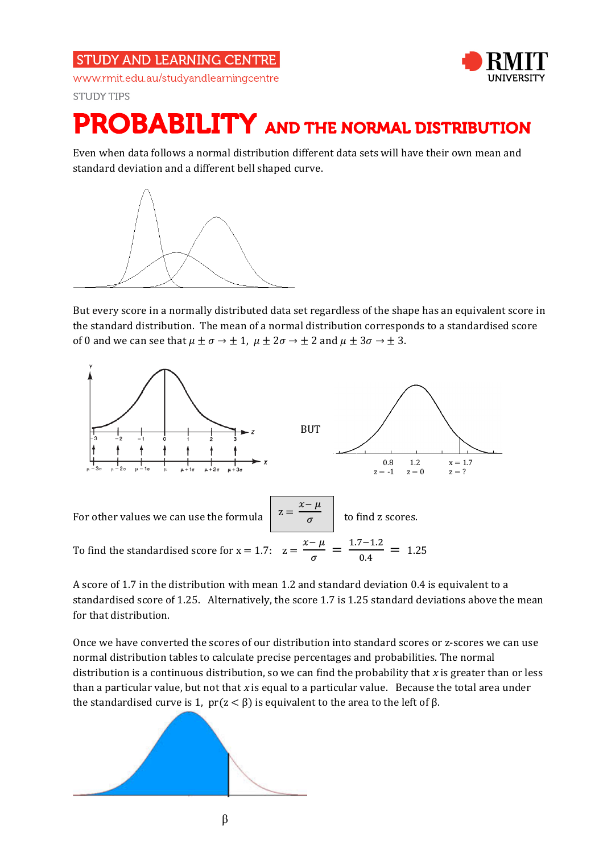**STUDY AND LEARNING CENTRE** www.rmit.edu.au/studyandlearningcentre

**STUDY TIPS** 

## PROBABILITY AND THE NORMAL DISTRIBUTION

Even when data follows a normal distribution different data sets will have their own mean and standard deviation and a different bell shaped curve.



But every score in a normally distributed data set regardless of the shape has an equivalent score in the standard distribution. The mean of a normal distribution corresponds to a standardised score of 0 and we can see that  $\mu \pm \sigma \rightarrow \pm 1$ ,  $\mu \pm 2\sigma \rightarrow \pm 2$  and  $\mu \pm 3\sigma \rightarrow \pm 3$ .



A score of 1.7 in the distribution with mean 1.2 and standard deviation 0.4 is equivalent to a standardised score of 1.25. Alternatively, the score 1.7 is 1.25 standard deviations above the mean for that distribution.

Once we have converted the scores of our distribution into standard scores or z-scores we can use normal distribution tables to calculate precise percentages and probabilities. The normal distribution is a continuous distribution, so we can find the probability that x is greater than or less than a particular value, but not that  $x$  is equal to a particular value. Because the total area under the standardised curve is 1,  $pr(z < β)$  is equivalent to the area to the left of  $β$ .